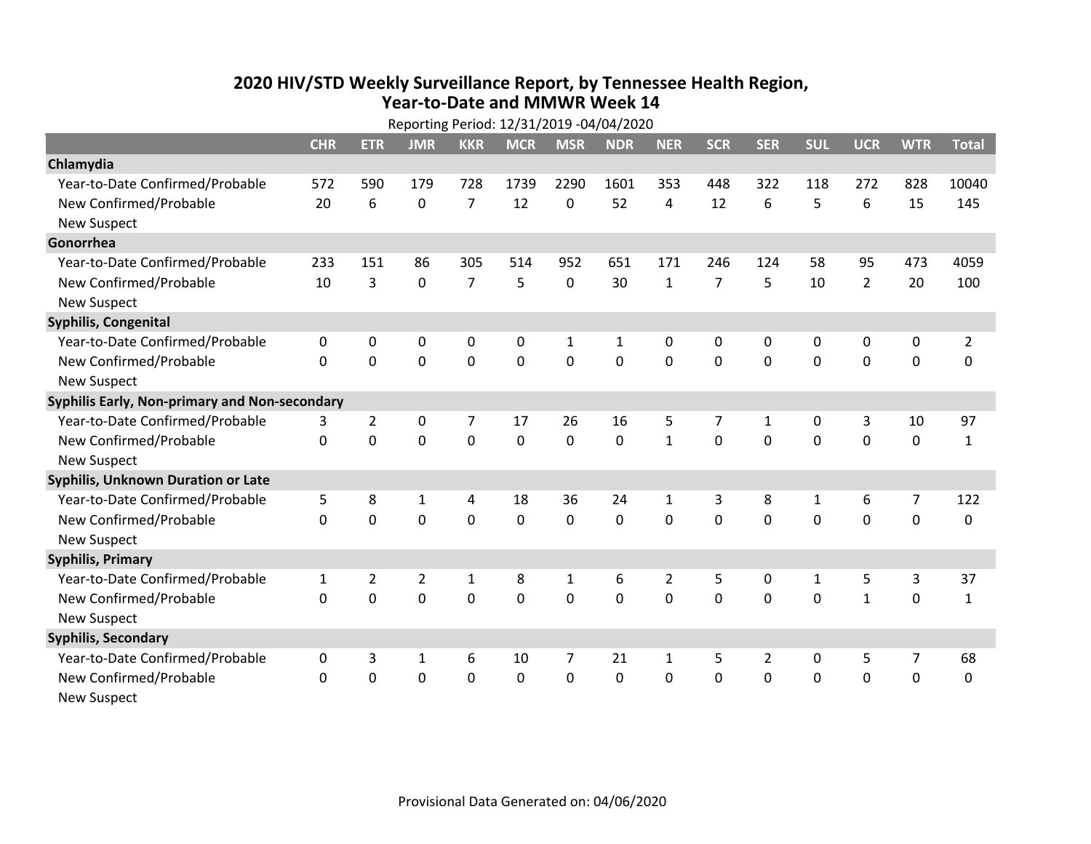## **2020 HIV /STD Weekly Surveillance Report, by Tennessee Health Region, Year‐to‐Date and MMWR Week 14** Reporting Period: 12/31/2019 ‐04/04/2020

| Reporting Period: 12/31/2019 -04/04/2020      |              |                |                |                |             |                |            |                |                |                |              |                |                |                |
|-----------------------------------------------|--------------|----------------|----------------|----------------|-------------|----------------|------------|----------------|----------------|----------------|--------------|----------------|----------------|----------------|
|                                               | <b>CHR</b>   | <b>ETR</b>     | <b>JMR</b>     | <b>KKR</b>     | <b>MCR</b>  | <b>MSR</b>     | <b>NDR</b> | <b>NER</b>     | <b>SCR</b>     | <b>SER</b>     | <b>SUL</b>   | <b>UCR</b>     | <b>WTR</b>     | <b>Total</b>   |
| Chlamydia                                     |              |                |                |                |             |                |            |                |                |                |              |                |                |                |
| Year-to-Date Confirmed/Probable               | 572          | 590            | 179            | 728            | 1739        | 2290           | 1601       | 353            | 448            | 322            | 118          | 272            | 828            | 10040          |
| New Confirmed/Probable                        | 20           | 6              | 0              | $\overline{7}$ | 12          | 0              | 52         | 4              | 12             | 6              | 5            | 6              | 15             | 145            |
| <b>New Suspect</b>                            |              |                |                |                |             |                |            |                |                |                |              |                |                |                |
| Gonorrhea                                     |              |                |                |                |             |                |            |                |                |                |              |                |                |                |
| Year-to-Date Confirmed/Probable               | 233          | 151            | 86             | 305            | 514         | 952            | 651        | 171            | 246            | 124            | 58           | 95             | 473            | 4059           |
| New Confirmed/Probable                        | 10           | 3              | 0              | $\overline{7}$ | 5           | 0              | 30         | $\mathbf{1}$   | $\overline{7}$ | 5              | 10           | $\overline{2}$ | 20             | 100            |
| <b>New Suspect</b>                            |              |                |                |                |             |                |            |                |                |                |              |                |                |                |
| <b>Syphilis, Congenital</b>                   |              |                |                |                |             |                |            |                |                |                |              |                |                |                |
| Year-to-Date Confirmed/Probable               | 0            | 0              | 0              | 0              | 0           | $\mathbf{1}$   | 1          | 0              | 0              | 0              | 0            | 0              | 0              | $\overline{2}$ |
| New Confirmed/Probable                        | $\Omega$     | $\Omega$       | 0              | 0              | 0           | $\mathbf 0$    | 0          | 0              | 0              | $\mathbf 0$    | 0            | 0              | $\mathbf 0$    | $\Omega$       |
| <b>New Suspect</b>                            |              |                |                |                |             |                |            |                |                |                |              |                |                |                |
| Syphilis Early, Non-primary and Non-secondary |              |                |                |                |             |                |            |                |                |                |              |                |                |                |
| Year-to-Date Confirmed/Probable               | 3            | $\overline{2}$ | 0              | 7              | 17          | 26             | 16         | 5              | 7              | $\mathbf{1}$   | 0            | 3              | 10             | 97             |
| New Confirmed/Probable                        | $\Omega$     | $\Omega$       | 0              | 0              | 0           | $\Omega$       | $\Omega$   | $\mathbf{1}$   | $\Omega$       | $\mathbf{0}$   | $\Omega$     | $\Omega$       | $\mathbf 0$    | $\mathbf{1}$   |
| <b>New Suspect</b>                            |              |                |                |                |             |                |            |                |                |                |              |                |                |                |
| Syphilis, Unknown Duration or Late            |              |                |                |                |             |                |            |                |                |                |              |                |                |                |
| Year-to-Date Confirmed/Probable               | 5            | 8              | 1              | 4              | 18          | 36             | 24         | 1              | 3              | 8              | 1            | 6              | $\overline{7}$ | 122            |
| New Confirmed/Probable                        | $\Omega$     | $\mathbf 0$    | $\mathbf 0$    | 0              | 0           | $\Omega$       | $\Omega$   | $\Omega$       | $\Omega$       | $\Omega$       | $\Omega$     | $\mathbf 0$    | $\mathbf 0$    | 0              |
| <b>New Suspect</b>                            |              |                |                |                |             |                |            |                |                |                |              |                |                |                |
| <b>Syphilis, Primary</b>                      |              |                |                |                |             |                |            |                |                |                |              |                |                |                |
| Year-to-Date Confirmed/Probable               | $\mathbf{1}$ | $\overline{2}$ | $\overline{2}$ | $\mathbf 1$    | 8           | $\mathbf{1}$   | 6          | $\overline{2}$ | 5              | 0              | $\mathbf{1}$ | 5              | 3              | 37             |
| New Confirmed/Probable                        | $\Omega$     | 0              | 0              | 0              | 0           | $\mathbf 0$    | $\Omega$   | $\Omega$       | $\Omega$       | $\Omega$       | $\Omega$     | $\mathbf{1}$   | 0              | $\mathbf{1}$   |
| <b>New Suspect</b>                            |              |                |                |                |             |                |            |                |                |                |              |                |                |                |
| <b>Syphilis, Secondary</b>                    |              |                |                |                |             |                |            |                |                |                |              |                |                |                |
| Year-to-Date Confirmed/Probable               | 0            | 3              | $\mathbf{1}$   | 6              | 10          | $\overline{7}$ | 21         | 1              | 5              | $\overline{2}$ | 0            | 5              | $\overline{7}$ | 68             |
| New Confirmed/Probable                        | $\Omega$     | 0              | 0              | 0              | $\mathbf 0$ | 0              | 0          | $\Omega$       | $\Omega$       | $\mathbf 0$    | 0            | 0              | $\mathbf 0$    | 0              |
| <b>New Suspect</b>                            |              |                |                |                |             |                |            |                |                |                |              |                |                |                |